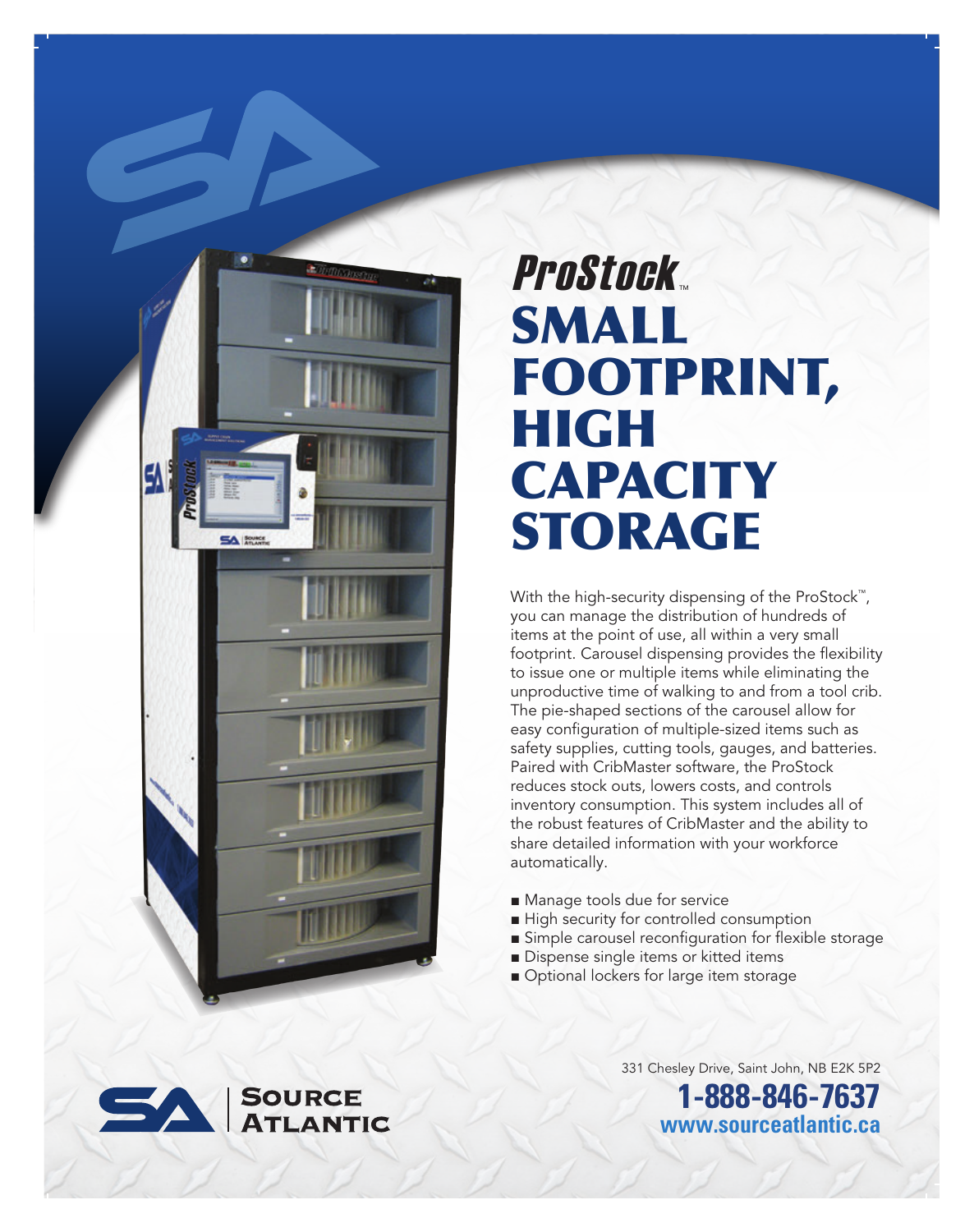

## SMALL FOOTPRINT, HIGH **CAPACITY** STORAGE ProStock

With the high-security dispensing of the ProStock™, you can manage the distribution of hundreds of items at the point of use, all within a very small footprint. Carousel dispensing provides the flexibility to issue one or multiple items while eliminating the unproductive time of walking to and from a tool crib. The pie-shaped sections of the carousel allow for easy configuration of multiple-sized items such as safety supplies, cutting tools, gauges, and batteries. Paired with CribMaster software, the ProStock reduces stock outs, lowers costs, and controls inventory consumption. This system includes all of the robust features of CribMaster and the ability to share detailed information with your workforce automatically.

- Manage tools due for service
- High security for controlled consumption
- Simple carousel reconfiguration for flexible storage
- Dispense single items or kitted items
- Optional lockers for large item storage



331 Chesley Drive, Saint John, NB E2K 5P2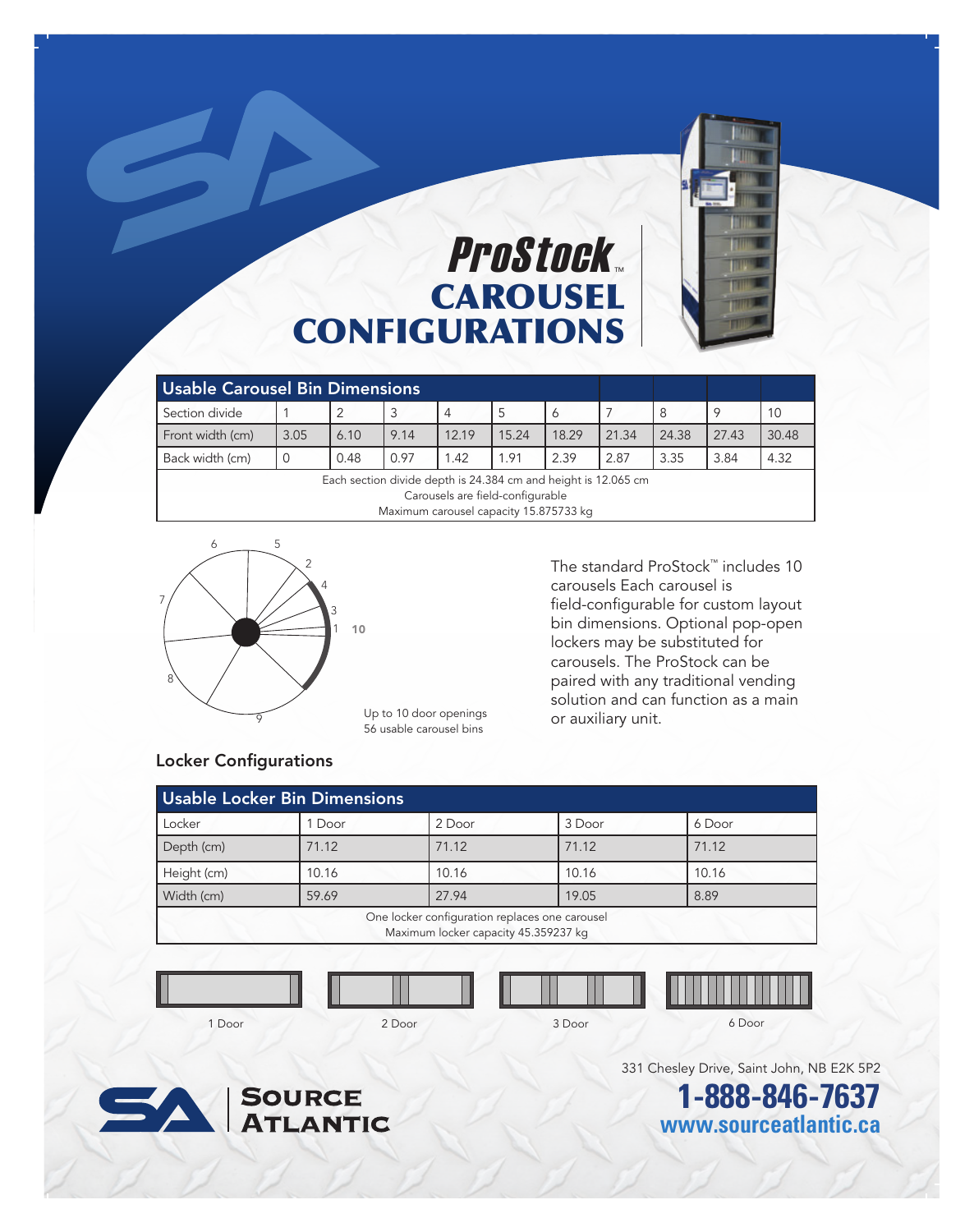

## **CAROUSEL** CONFIGURATIONS ProStock.

| <b>Usable Carousel Bin Dimensions</b>                                                              |      |      |      |       |       |       |       |       |       |       |
|----------------------------------------------------------------------------------------------------|------|------|------|-------|-------|-------|-------|-------|-------|-------|
| Section divide                                                                                     |      |      |      | 4     |       |       |       | 8     |       | 10    |
| Front width (cm)                                                                                   | 3.05 | 6.10 | 9.14 | 12.19 | 15.24 | 18.29 | 21.34 | 24.38 | 27.43 | 30.48 |
| Back width (cm)                                                                                    |      | 0.48 | 0.97 | 1.42  | 1.91  | 2.39  | 2.87  | 3.35  | 3.84  | 4.32  |
| Each section divide depth is 24.384 cm and height is 12.065 cm<br>Carousels are field-configurable |      |      |      |       |       |       |       |       |       |       |
| Maximum carousel capacity 15.875733 kg                                                             |      |      |      |       |       |       |       |       |       |       |



Up to 10 door openings 56 usable carousel bins

The standard ProStock™ includes 10 carousels Each carousel is field-configurable for custom layout bin dimensions. Optional pop-open lockers may be substituted for carousels. The ProStock can be paired with any traditional vending solution and can function as a main or auxiliary unit.

#### Locker Configurations

| Usable Locker Bin Dimensions                                                           |        |        |        |        |  |  |  |
|----------------------------------------------------------------------------------------|--------|--------|--------|--------|--|--|--|
| Locker                                                                                 | 1 Door | 2 Door | 3 Door | 6 Door |  |  |  |
| Depth (cm)                                                                             | 71.12  | 71.12  | 71.12  | 71.12  |  |  |  |
| Height (cm)                                                                            | 10.16  | 10.16  | 10.16  | 10.16  |  |  |  |
| Width (cm)                                                                             | 59.69  | 27.94  | 19.05  | 8.89   |  |  |  |
| One locker configuration replaces one carousel<br>Maximum locker capacity 45.359237 kg |        |        |        |        |  |  |  |
|                                                                                        |        |        |        |        |  |  |  |

1 Door 2 Door 3 Door 6 Door

331 Chesley Drive, Saint John, NB E2K 5P2

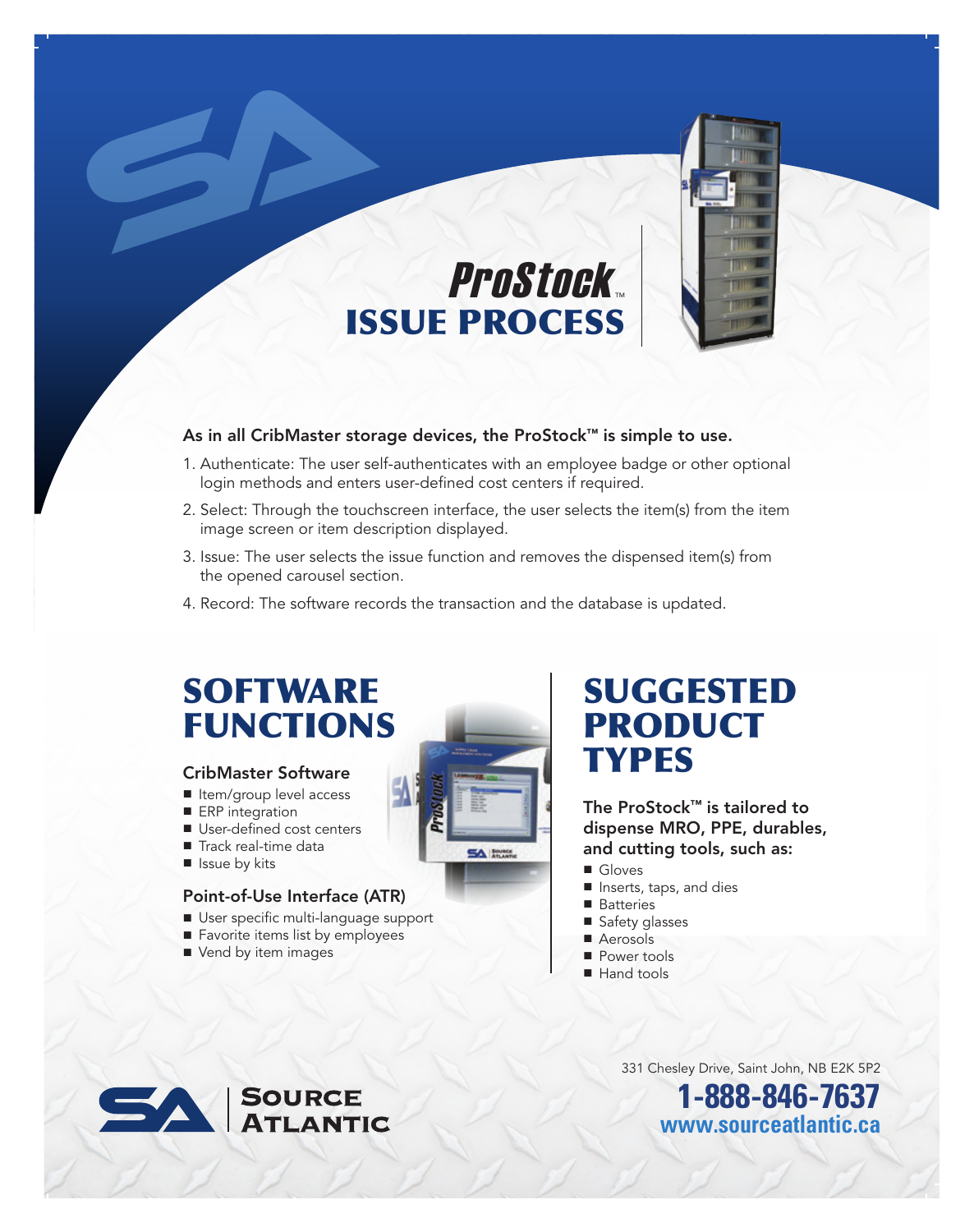

#### As in all CribMaster storage devices, the ProStock™ is simple to use.

1. Authenticate: The user self-authenticates with an employee badge or other optional login methods and enters user-defined cost centers if required.

ISSUE PROCESS

ProStock

- 2. Select: Through the touchscreen interface, the user selects the item(s) from the item image screen or item description displayed.
- 3. Issue: The user selects the issue function and removes the dispensed item(s) from the opened carousel section.
- 4. Record: The software records the transaction and the database is updated.

## **SOFTWARE** FUNCTIONS

#### CribMaster Software

- Item/group level access
- ERP integration
- User-defined cost centers
- Track real-time data
- Issue by kits

### Point-of-Use Interface (ATR)

- User specific multi-language support
- Favorite items list by employees
- Vend by item images

## SUGGESTED PRODUCT **TYPES**

The ProStock™ is tailored to dispense MRO, PPE, durables, and cutting tools, such as:

- Gloves
- Inserts, taps, and dies
- Batteries
- Safety glasses
- Aerosols
- Power tools
- Hand tools

331 Chesley Drive, Saint John, NB E2K 5P2